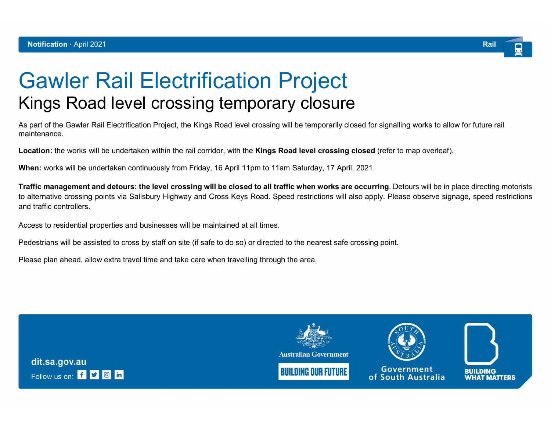

## Gawler Rail Electrification Project Kings Road level crossing temporary closure

As part of the Gawler Rail Electrification Project, the Kings Road level crossing will be temporarily closed for signalling works to allow for future rail maintenance.

Location: the works will be undertaken within the rail corridor, with the Kings Road level crossing closed (refer to map overleaf).

When: works will be undertaken continuously from Friday, 16 April 11pm to 11am Saturday, 17 April, 2021.

Traffic management and detours: the level crossing will be closed to all traffic when works are occurring. Detours will be in place directing motorists to alternative crossing points via Salisbury Highway and Cross Keys Road. Speed restrictions will also apply. Please observe signage, speed restrictions and traffic controllers.

Access to residential properties and businesses will be maintained at all times.

Pedestrians will be assisted to cross by staff on site (if safe to do so) or directed to the nearest safe crossing point.

Please plan ahead, allow extra travel time and take care when travelling through the area.